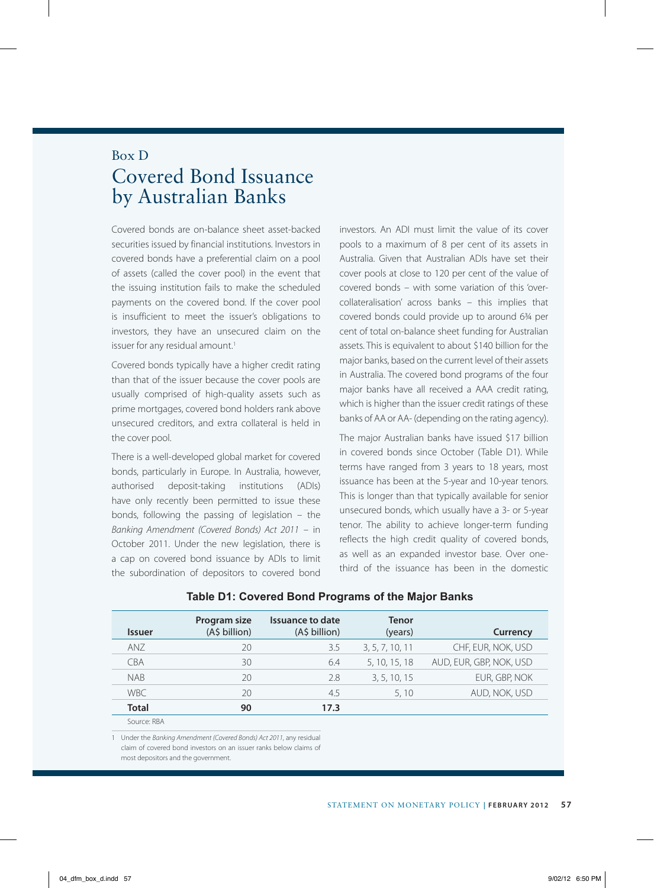## Box D Covered Bond Issuance by Australian Banks

Covered bonds are on-balance sheet asset-backed securities issued by financial institutions. Investors in covered bonds have a preferential claim on a pool of assets (called the cover pool) in the event that the issuing institution fails to make the scheduled payments on the covered bond. If the cover pool is insufficient to meet the issuer's obligations to investors, they have an unsecured claim on the issuer for any residual amount.<sup>1</sup>

Covered bonds typically have a higher credit rating than that of the issuer because the cover pools are usually comprised of high-quality assets such as prime mortgages, covered bond holders rank above unsecured creditors, and extra collateral is held in the cover pool.

There is a well-developed global market for covered bonds, particularly in Europe. In Australia, however, authorised deposit-taking institutions (ADIs) have only recently been permitted to issue these bonds, following the passing of legislation – the *Banking Amendment (Covered Bonds) Act 2011* – in October 2011. Under the new legislation, there is a cap on covered bond issuance by ADIs to limit the subordination of depositors to covered bond investors. An ADI must limit the value of its cover pools to a maximum of 8 per cent of its assets in Australia. Given that Australian ADIs have set their cover pools at close to 120 per cent of the value of covered bonds – with some variation of this 'overcollateralisation' across banks – this implies that covered bonds could provide up to around 6¾ per cent of total on-balance sheet funding for Australian assets. This is equivalent to about \$140 billion for the major banks, based on the current level of their assets in Australia. The covered bond programs of the four major banks have all received a AAA credit rating, which is higher than the issuer credit ratings of these banks of AA or AA- (depending on the rating agency).

The major Australian banks have issued \$17 billion in covered bonds since October (Table D1). While terms have ranged from 3 years to 18 years, most issuance has been at the 5-year and 10-year tenors. This is longer than that typically available for senior unsecured bonds, which usually have a 3- or 5-year tenor. The ability to achieve longer-term funding reflects the high credit quality of covered bonds, as well as an expanded investor base. Over onethird of the issuance has been in the domestic

| <i><u><b>Issuer</b></u></i> | Program size<br>(A\$ billion) | Issuance to date<br>(A\$ billion) | <b>Tenor</b><br>(years) | Currency                |
|-----------------------------|-------------------------------|-----------------------------------|-------------------------|-------------------------|
| ANZ                         | 20                            | 3.5                               | 3, 5, 7, 10, 11         | CHF, EUR, NOK, USD      |
| <b>CBA</b>                  | 30                            | 6.4                               | 5, 10, 15, 18           | AUD, EUR, GBP, NOK, USD |
| <b>NAB</b>                  | 20                            | 2.8                               | 3, 5, 10, 15            | EUR, GBP, NOK           |
| <b>WBC</b>                  | 20                            | 4.5                               | 5, 10                   | AUD, NOK, USD           |
| <b>Total</b>                | 90                            | 17.3                              |                         |                         |
| Source: RRA                 |                               |                                   |                         |                         |

## **Table D1: Covered Bond Programs of the Major Banks**

1 Under the *Banking Amendment (Covered Bonds) Act 2011*, any residual claim of covered bond investors on an issuer ranks below claims of most depositors and the government.